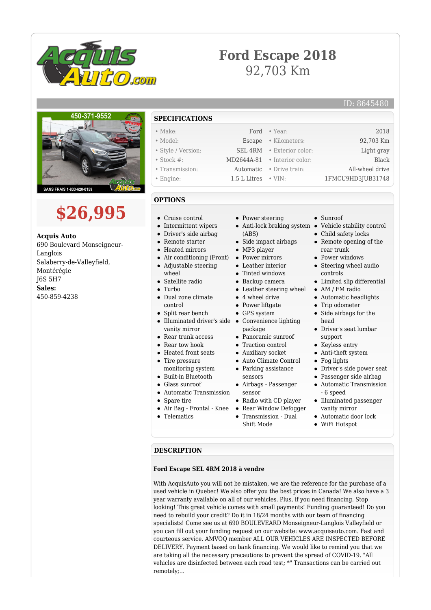

# **Ford Escape 2018** 92,703 Km

### ID: 8645480



# **\$26,995**

**Acquis Auto** 690 Boulevard Monseigneur-Langlois Salaberry-de-Valleyfield, Montérégie J6S 5H7 **Sales:** 450-859-4238

**SPECIFICATIONS** • Make: Ford • Year: 2018 • Model: Escape • Kilometers: 92,703 Km • Style / Version: SEL 4RM • Exterior color: Light gray • Stock #: MD2644A-81 • Interior color: Black • Transmission: Automatic • Drive train: All-wheel drive • Engine: 1.5 L Litres • VIN: 1FMCU9HD3JUB31748

#### **OPTIONS**

- Cruise control
- Intermittent wipers
- Driver's side airbag
- Remote starter
- Heated mirrors
- Air conditioning (Front)
- 
- 
- 
- Dual zone climate control
- Split rear bench
- Illuminated driver's side Convenience lighting vanity mirror
- Rear trunk access
- Rear tow hook
- 
- Tire pressure  $\bullet$
- monitoring system
- 
- 
- Spare tire
- 
- 
- Power steering
- (ABS)
- Side impact airbags
- MP3 player
- Power mirrors
- Leather interior
- Tinted windows
- Backup camera
- Leather steering wheel
- 4 wheel drive
- Power liftgate
- GPS system
- package
- Panoramic sunroof
- Traction control
- Auxiliary socket
- Auto Climate Control
- Parking assistance
- Airbags Passenger
- sensor
- Radio with CD player
- Rear Window Defogger
- Transmission Dual Shift Mode
- Sunroof
- Anti-lock braking system Vehicle stability control
	- Child safety locks
	- Remote opening of the rear trunk
	- Power windows
	- Steering wheel audio controls
	- Limited slip differential
	- AM / FM radio
	- Automatic headlights
	- Trip odometer
		- Side airbags for the head
		- Driver's seat lumbar support
		- Keyless entry
		- Anti-theft system
		- Fog lights
	- Driver's side power seat
	- Passenger side airbag
	- Automatic Transmission - 6 speed
	- Illuminated passenger vanity mirror
	- Automatic door lock
	- WiFi Hotspot

#### **DESCRIPTION**

#### **Ford Escape SEL 4RM 2018 à vendre**

With AcquisAuto you will not be mistaken, we are the reference for the purchase of a used vehicle in Quebec! We also offer you the best prices in Canada! We also have a 3 year warranty available on all of our vehicles. Plus, if you need financing. Stop looking! This great vehicle comes with small payments! Funding guaranteed! Do you need to rebuild your credit? Do it in 18/24 months with our team of financing specialists! Come see us at 690 BOULEVEARD Monseigneur-Langlois Valleyfield or you can fill out your funding request on our website: www.acquisauto.com. Fast and courteous service. AMVOQ member ALL OUR VEHICLES ARE INSPECTED BEFORE DELIVERY. Payment based on bank financing. We would like to remind you that we are taking all the necessary precautions to prevent the spread of COVID-19. "All vehicles are disinfected between each road test; \*" Transactions can be carried out remotely;...

## Adjustable steering

wheel

#### • Satellite radio

Turbo  $\bullet$ 

- 
- 
- 
- 
- Heated front seats
- 
- Built-in Bluetooth
- Glass sunroof
- Automatic Transmission
- 
- Air Bag Frontal Knee
- Telematics
- - - - sensors